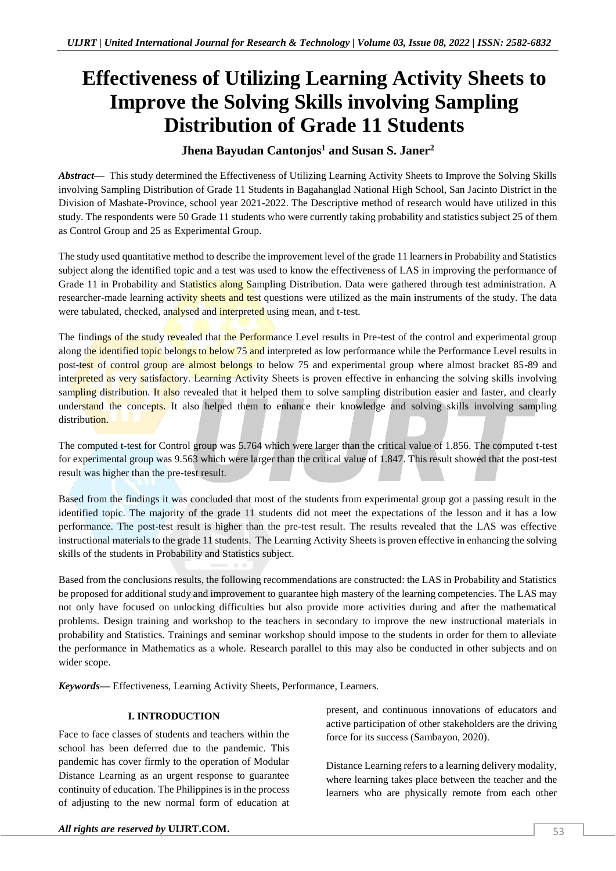# **Effectiveness of Utilizing Learning Activity Sheets to Improve the Solving Skills involving Sampling Distribution of Grade 11 Students**

# **Jhena Bayudan Cantonjos<sup>1</sup> and Susan S. Janer<sup>2</sup>**

*Abstract—* This study determined the Effectiveness of Utilizing Learning Activity Sheets to Improve the Solving Skills involving Sampling Distribution of Grade 11 Students in Bagahanglad National High School, San Jacinto District in the Division of Masbate-Province, school year 2021-2022. The Descriptive method of research would have utilized in this study. The respondents were 50 Grade 11 students who were currently taking probability and statistics subject 25 of them as Control Group and 25 as Experimental Group.

The study used quantitative method to describe the improvement level of the grade 11 learners in Probability and Statistics subject along the identified topic and a test was used to know the effectiveness of LAS in improving the performance of Grade 11 in Probability and Statistics along Sampling Distribution. Data were gathered through test administration. A researcher-made learning activity sheets and test questions were utilized as the main instruments of the study. The data were tabulated, checked, analysed and interpreted using mean, and t-test.

The findings of the study revealed that the Performance Level results in Pre-test of the control and experimental group along the identified topic belongs to below 75 and interpreted as low performance while the Performance Level results in post-test of control group are almost belongs to below 75 and experimental group where almost bracket 85-89 and interpreted as very satisfactory. Learning Activity Sheets is proven effective in enhancing the solving skills involving sampling distribution. It also revealed that it helped them to solve sampling distribution easier and faster, and clearly understand the concepts. It also helped them to enhance their knowledge and solving skills involving sampling distribution

The computed t-test for Control group was 5.764 which were larger than the critical value of 1.856. The computed t-test for experimental group was 9.563 which were larger than the critical value of 1.847. This result showed that the post-test result was higher than the pre-test result.

Based from the findings it was concluded that most of the students from experimental group got a passing result in the identified topic. The majority of the grade 11 students did not meet the expectations of the lesson and it has a low performance. The post-test result is higher than the pre-test result. The results revealed that the LAS was effective instructional materials to the grade 11 students. The Learning Activity Sheets is proven effective in enhancing the solving skills of the students in Probability and Statistics subject.

Based from the conclusions results, the following recommendations are constructed: the LAS in Probability and Statistics be proposed for additional study and improvement to guarantee high mastery of the learning competencies. The LAS may not only have focused on unlocking difficulties but also provide more activities during and after the mathematical problems. Design training and workshop to the teachers in secondary to improve the new instructional materials in probability and Statistics. Trainings and seminar workshop should impose to the students in order for them to alleviate the performance in Mathematics as a whole. Research parallel to this may also be conducted in other subjects and on wider scope.

*Keywords—* Effectiveness, Learning Activity Sheets, Performance, Learners.

# **I. INTRODUCTION**

Face to face classes of students and teachers within the school has been deferred due to the pandemic. This pandemic has cover firmly to the operation of Modular Distance Learning as an urgent response to guarantee continuity of education. The Philippines is in the process of adjusting to the new normal form of education at

present, and continuous innovations of educators and active participation of other stakeholders are the driving force for its success (Sambayon, 2020).

Distance Learning refers to a learning delivery modality, where learning takes place between the teacher and the learners who are physically remote from each other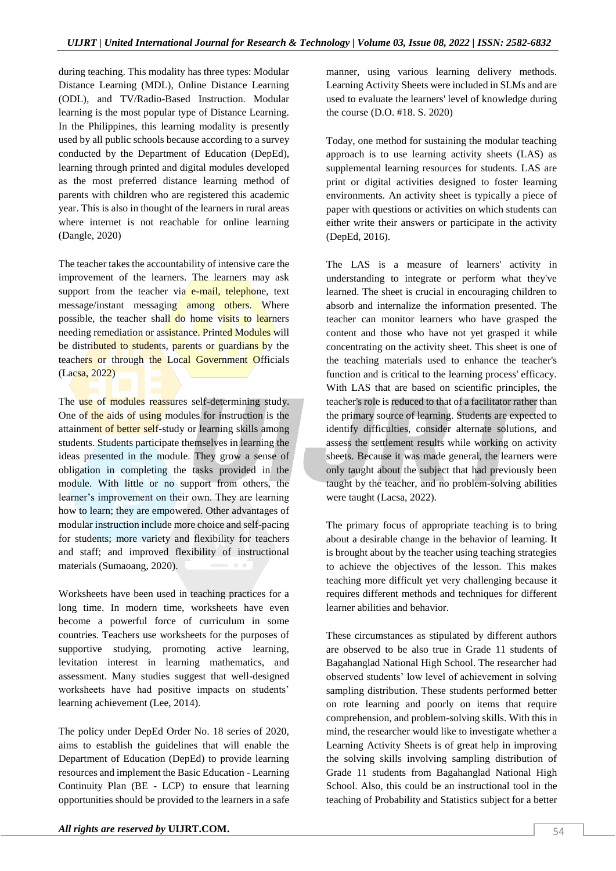during teaching. This modality has three types: Modular Distance Learning (MDL), Online Distance Learning (ODL), and TV/Radio-Based Instruction. Modular learning is the most popular type of Distance Learning. In the Philippines, this learning modality is presently used by all public schools because according to a survey conducted by the Department of Education (DepEd), learning through printed and digital modules developed as the most preferred distance learning method of parents with children who are registered this academic year. This is also in thought of the learners in rural areas where internet is not reachable for online learning (Dangle, 2020)

The teacher takes the accountability of intensive care the improvement of the learners. The learners may ask support from the teacher via e-mail, telephone, text message/instant messaging among others. Where possible, the teacher shall do home visits to learners needing remediation or assistance. Printed Modules will be distributed to students, parents or guardians by the teachers or through the Local Government Officials (Lacsa, 2022)

The use of modules reassures self-determining study. One of the aids of using modules for instruction is the attainment of better self-study or learning skills among students. Students participate themselves in learning the ideas presented in the module. They grow a sense of obligation in completing the tasks provided in the module. With little or no support from others, the learner's improvement on their own. They are learning how to learn; they are empowered. Other advantages of modular instruction include more choice and self-pacing for students; more variety and flexibility for teachers and staff; and improved flexibility of instructional materials (Sumaoang, 2020).

Worksheets have been used in teaching practices for a long time. In modern time, worksheets have even become a powerful force of curriculum in some countries. Teachers use worksheets for the purposes of supportive studying, promoting active learning, levitation interest in learning mathematics, and assessment. Many studies suggest that well-designed worksheets have had positive impacts on students' learning achievement (Lee, 2014).

The policy under DepEd Order No. 18 series of 2020, aims to establish the guidelines that will enable the Department of Education (DepEd) to provide learning resources and implement the Basic Education - Learning Continuity Plan (BE - LCP) to ensure that learning opportunities should be provided to the learners in a safe manner, using various learning delivery methods. Learning Activity Sheets were included in SLMs and are used to evaluate the learners' level of knowledge during the course (D.O. #18. S. 2020)

Today, one method for sustaining the modular teaching approach is to use learning activity sheets (LAS) as supplemental learning resources for students. LAS are print or digital activities designed to foster learning environments. An activity sheet is typically a piece of paper with questions or activities on which students can either write their answers or participate in the activity (DepEd, 2016).

The LAS is a measure of learners' activity in understanding to integrate or perform what they've learned. The sheet is crucial in encouraging children to absorb and internalize the information presented. The teacher can monitor learners who have grasped the content and those who have not yet grasped it while concentrating on the activity sheet. This sheet is one of the teaching materials used to enhance the teacher's function and is critical to the learning process' efficacy. With LAS that are based on scientific principles, the teacher's role is reduced to that of a facilitator rather than the primary source of learning. Students are expected to identify difficulties, consider alternate solutions, and assess the settlement results while working on activity sheets. Because it was made general, the learners were only taught about the subject that had previously been taught by the teacher, and no problem-solving abilities were taught (Lacsa, 2022).

The primary focus of appropriate teaching is to bring about a desirable change in the behavior of learning. It is brought about by the teacher using teaching strategies to achieve the objectives of the lesson. This makes teaching more difficult yet very challenging because it requires different methods and techniques for different learner abilities and behavior.

These circumstances as stipulated by different authors are observed to be also true in Grade 11 students of Bagahanglad National High School. The researcher had observed students' low level of achievement in solving sampling distribution. These students performed better on rote learning and poorly on items that require comprehension, and problem-solving skills. With this in mind, the researcher would like to investigate whether a Learning Activity Sheets is of great help in improving the solving skills involving sampling distribution of Grade 11 students from Bagahanglad National High School. Also, this could be an instructional tool in the teaching of Probability and Statistics subject for a better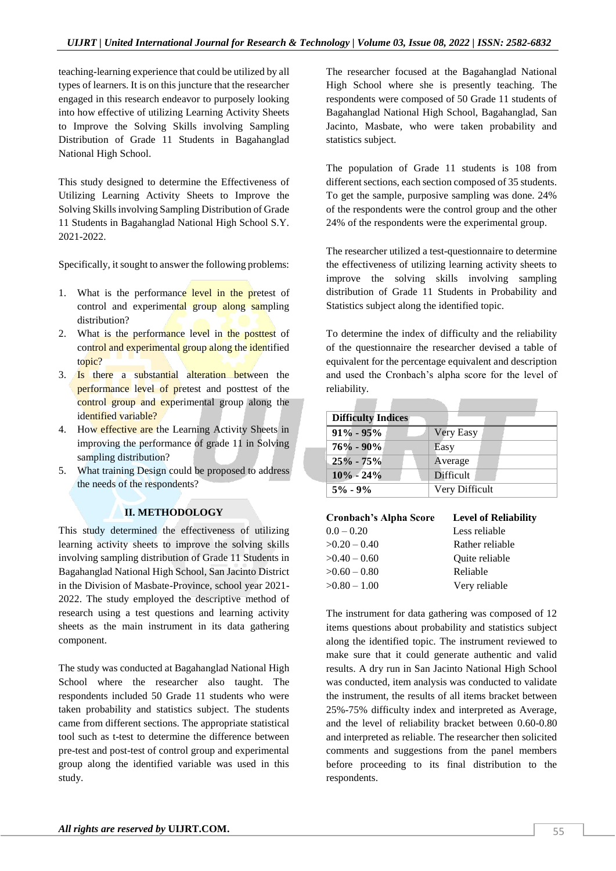teaching-learning experience that could be utilized by all types of learners. It is on this juncture that the researcher engaged in this research endeavor to purposely looking into how effective of utilizing Learning Activity Sheets to Improve the Solving Skills involving Sampling Distribution of Grade 11 Students in Bagahanglad National High School.

This study designed to determine the Effectiveness of Utilizing Learning Activity Sheets to Improve the Solving Skills involving Sampling Distribution of Grade 11 Students in Bagahanglad National High School S.Y. 2021-2022.

Specifically, it sought to answer the following problems:

- 1. What is the performance level in the pretest of control and experimental group along sampling distribution?
- 2. What is the performance level in the posttest of control and experimental group along the identified topic?
- 3. Is there a substantial alteration between the performance level of pretest and posttest of the control group and experimental group along the identified variable?
- 4. How effective are the Learning Activity Sheets in improving the performance of grade 11 in Solving sampling distribution?
- 5. What training Design could be proposed to address the needs of the respondents?

# **II. METHODOLOGY**

This study determined the effectiveness of utilizing learning activity sheets to improve the solving skills involving sampling distribution of Grade 11 Students in Bagahanglad National High School, San Jacinto District in the Division of Masbate-Province, school year 2021- 2022. The study employed the descriptive method of research using a test questions and learning activity sheets as the main instrument in its data gathering component.

The study was conducted at Bagahanglad National High School where the researcher also taught. The respondents included 50 Grade 11 students who were taken probability and statistics subject. The students came from different sections. The appropriate statistical tool such as t-test to determine the difference between pre-test and post-test of control group and experimental group along the identified variable was used in this study.

The researcher focused at the Bagahanglad National High School where she is presently teaching. The respondents were composed of 50 Grade 11 students of Bagahanglad National High School, Bagahanglad, San Jacinto, Masbate, who were taken probability and statistics subject.

The population of Grade 11 students is 108 from different sections, each section composed of 35 students. To get the sample, purposive sampling was done. 24% of the respondents were the control group and the other 24% of the respondents were the experimental group.

The researcher utilized a test-questionnaire to determine the effectiveness of utilizing learning activity sheets to improve the solving skills involving sampling distribution of Grade 11 Students in Probability and Statistics subject along the identified topic.

To determine the index of difficulty and the reliability of the questionnaire the researcher devised a table of equivalent for the percentage equivalent and description and used the Cronbach's alpha score for the level of reliability.

| <b>Difficulty Indices</b> |                  |  |  |  |  |
|---------------------------|------------------|--|--|--|--|
| $91\% - 95\%$             | <b>Very Easy</b> |  |  |  |  |
| $76\% - 90\%$             | Easy             |  |  |  |  |
| $25\% - 75\%$             | Average          |  |  |  |  |
| $10\% - 24\%$             | Difficult        |  |  |  |  |
| $5\% - 9\%$               | Very Difficult   |  |  |  |  |

l.

| Cronbach's Alpha Score | <b>Level of Reliability</b> |
|------------------------|-----------------------------|
| $0.0 - 0.20$           | Less reliable               |

| $>0.20 - 0.40$ | Rather reliable |
|----------------|-----------------|
| $>0.40 - 0.60$ | Quite reliable  |
| $>0.60 - 0.80$ | Reliable        |
| $>0.80 - 1.00$ | Very reliable   |

The instrument for data gathering was composed of 12 items questions about probability and statistics subject along the identified topic. The instrument reviewed to make sure that it could generate authentic and valid results. A dry run in San Jacinto National High School was conducted, item analysis was conducted to validate the instrument, the results of all items bracket between 25%-75% difficulty index and interpreted as Average, and the level of reliability bracket between 0.60-0.80 and interpreted as reliable. The researcher then solicited comments and suggestions from the panel members before proceeding to its final distribution to the respondents.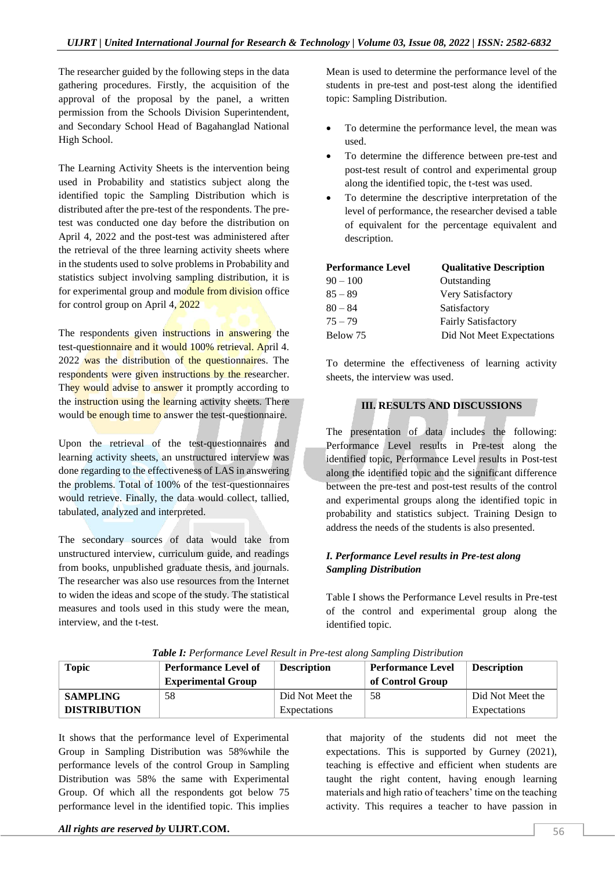The researcher guided by the following steps in the data gathering procedures. Firstly, the acquisition of the approval of the proposal by the panel, a written permission from the Schools Division Superintendent, and Secondary School Head of Bagahanglad National High School.

The Learning Activity Sheets is the intervention being used in Probability and statistics subject along the identified topic the Sampling Distribution which is distributed after the pre-test of the respondents. The pretest was conducted one day before the distribution on April 4, 2022 and the post-test was administered after the retrieval of the three learning activity sheets where in the students used to solve problems in Probability and statistics subject involving sampling distribution, it is for experimental group and module from division office for control group on April 4, 2022

The respondents given instructions in answering the test-questionnaire and it would 100% retrieval. April 4. 2022 was the distribution of the questionnaires. The respondents were given instructions by the researcher. They would advise to answer it promptly according to the instruction using the learning activity sheets. There would be enough time to answer the test-questionnaire.

Upon the retrieval of the test-questionnaires and learning activity sheets, an unstructured interview was done regarding to the effectiveness of LAS in answering the problems. Total of 100% of the test-questionnaires would retrieve. Finally, the data would collect, tallied, tabulated, analyzed and interpreted.

The secondary sources of data would take from unstructured interview, curriculum guide, and readings from books, unpublished graduate thesis, and journals. The researcher was also use resources from the Internet to widen the ideas and scope of the study. The statistical measures and tools used in this study were the mean, interview, and the t-test.

Mean is used to determine the performance level of the students in pre-test and post-test along the identified topic: Sampling Distribution.

- To determine the performance level, the mean was used.
- To determine the difference between pre-test and post-test result of control and experimental group along the identified topic, the t-test was used.
- To determine the descriptive interpretation of the level of performance, the researcher devised a table of equivalent for the percentage equivalent and description.

| <b>Performance Level</b> | <b>Qualitative Description</b> |
|--------------------------|--------------------------------|
| $90 - 100$               | Outstanding                    |
| $85 - 89$                | Very Satisfactory              |
| $80 - 84$                | Satisfactory                   |
| $75 - 79$                | <b>Fairly Satisfactory</b>     |
| Below 75                 | Did Not Meet Expectations      |

To determine the effectiveness of learning activity sheets, the interview was used.

### **III. RESULTS AND DISCUSSIONS**

The presentation of data includes the following: Performance Level results in Pre-test along the identified topic, Performance Level results in Post-test along the identified topic and the significant difference between the pre-test and post-test results of the control and experimental groups along the identified topic in probability and statistics subject. Training Design to address the needs of the students is also presented.

# *I. Performance Level results in Pre-test along Sampling Distribution*

Table I shows the Performance Level results in Pre-test of the control and experimental group along the identified topic.

| <b>Topic</b>        | <b>Performance Level of</b><br><b>Experimental Group</b> | <b>Description</b> | <b>Performance Level</b><br>of Control Group | <b>Description</b> |
|---------------------|----------------------------------------------------------|--------------------|----------------------------------------------|--------------------|
| <b>SAMPLING</b>     | 58                                                       | Did Not Meet the   | 58                                           | Did Not Meet the   |
| <b>DISTRIBUTION</b> |                                                          | Expectations       |                                              | Expectations       |

*Table I: Performance Level Result in Pre-test along Sampling Distribution*

It shows that the performance level of Experimental Group in Sampling Distribution was 58%while the performance levels of the control Group in Sampling Distribution was 58% the same with Experimental Group. Of which all the respondents got below 75 performance level in the identified topic. This implies

that majority of the students did not meet the expectations. This is supported by Gurney (2021), teaching is effective and efficient when students are taught the right content, having enough learning materials and high ratio of teachers' time on the teaching activity. This requires a teacher to have passion in

*All rights are reserved by UIJRT.COM. 56*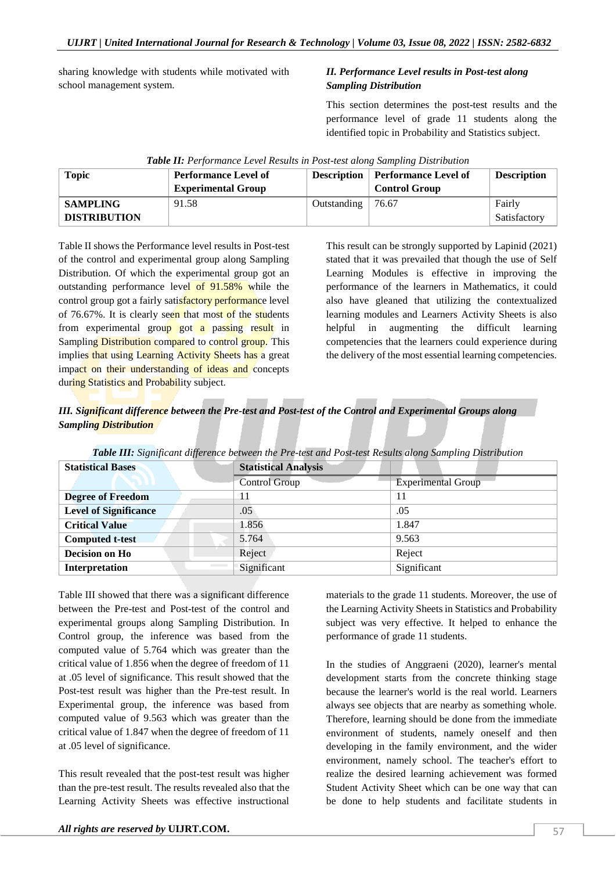sharing knowledge with students while motivated with school management system.

# *II. Performance Level results in Post-test along Sampling Distribution*

This section determines the post-test results and the performance level of grade 11 students along the identified topic in Probability and Statistics subject.

| <b>Topic</b>        | <b>Performance Level of</b><br><b>Experimental Group</b> | <b>Description</b> | Performance Level of<br><b>Control Group</b> | <b>Description</b> |
|---------------------|----------------------------------------------------------|--------------------|----------------------------------------------|--------------------|
| <b>SAMPLING</b>     | 91.58                                                    | Outstanding        | 76.67                                        | Fairly             |
| <b>DISTRIBUTION</b> |                                                          |                    |                                              | Satisfactory       |

|  | Table II: Performance Level Results in Post-test along Sampling Distribution |  |  |  |
|--|------------------------------------------------------------------------------|--|--|--|
|  |                                                                              |  |  |  |

Table II shows the Performance level results in Post-test of the control and experimental group along Sampling Distribution. Of which the experimental group got an outstanding performance level of 91.58% while the control group got a fairly satisfactory performance level of 76.67%. It is clearly seen that most of the students from experimental group got a passing result in Sampling Distribution compared to control group. This implies that using Learning Activity Sheets has a great impact on their understanding of ideas and concepts during Statistics and Probability subject.

This result can be strongly supported by Lapinid (2021) stated that it was prevailed that though the use of Self Learning Modules is effective in improving the performance of the learners in Mathematics, it could also have gleaned that utilizing the contextualized learning modules and Learners Activity Sheets is also helpful in augmenting the difficult learning competencies that the learners could experience during the delivery of the most essential learning competencies.

*III. Significant difference between the Pre-test and Post-test of the Control and Experimental Groups along Sampling Distribution*

| <b>Statistical Bases</b>     | <b>Statistical Analysis</b> |                           |  |
|------------------------------|-----------------------------|---------------------------|--|
|                              | <b>Control Group</b>        | <b>Experimental Group</b> |  |
| <b>Degree of Freedom</b>     |                             | 11                        |  |
| <b>Level of Significance</b> | .05                         | .05                       |  |
| <b>Critical Value</b>        | 1.856                       | 1.847                     |  |
| <b>Computed t-test</b>       | 5.764                       | 9.563                     |  |
| Decision on Ho               | Reject                      | Reject                    |  |
| Interpretation               | Significant                 | Significant               |  |

*Table III: Significant difference between the Pre-test and Post-test Results along Sampling Distribution*

Table III showed that there was a significant difference between the Pre-test and Post-test of the control and experimental groups along Sampling Distribution. In Control group, the inference was based from the computed value of 5.764 which was greater than the critical value of 1.856 when the degree of freedom of 11 at .05 level of significance. This result showed that the Post-test result was higher than the Pre-test result. In Experimental group, the inference was based from computed value of 9.563 which was greater than the critical value of 1.847 when the degree of freedom of 11 at .05 level of significance.

This result revealed that the post-test result was higher than the pre-test result. The results revealed also that the Learning Activity Sheets was effective instructional

materials to the grade 11 students. Moreover, the use of the Learning Activity Sheets in Statistics and Probability subject was very effective. It helped to enhance the performance of grade 11 students.

In the studies of Anggraeni (2020), learner's mental development starts from the concrete thinking stage because the learner's world is the real world. Learners always see objects that are nearby as something whole. Therefore, learning should be done from the immediate environment of students, namely oneself and then developing in the family environment, and the wider environment, namely school. The teacher's effort to realize the desired learning achievement was formed Student Activity Sheet which can be one way that can be done to help students and facilitate students in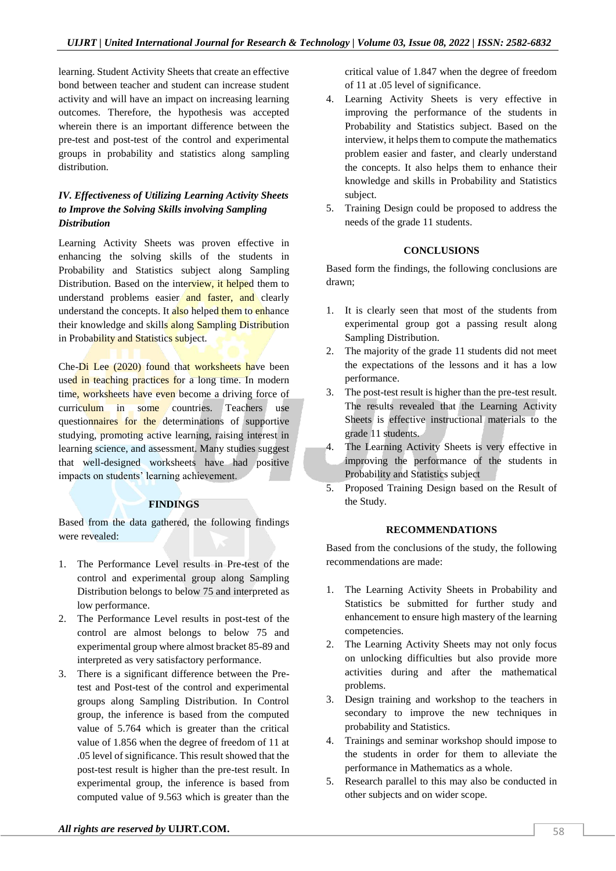learning. Student Activity Sheets that create an effective bond between teacher and student can increase student activity and will have an impact on increasing learning outcomes. Therefore, the hypothesis was accepted wherein there is an important difference between the pre-test and post-test of the control and experimental groups in probability and statistics along sampling distribution.

# *IV. Effectiveness of Utilizing Learning Activity Sheets to Improve the Solving Skills involving Sampling Distribution*

Learning Activity Sheets was proven effective in enhancing the solving skills of the students in Probability and Statistics subject along Sampling Distribution. Based on the interview, it helped them to understand problems easier and faster, and clearly understand the concepts. It also helped them to enhance their knowledge and skills along Sampling Distribution in Probability and Statistics subject.

Che-Di Lee (2020) found that worksheets have been used in teaching practices for a long time. In modern time, worksheets have even become a driving force of curriculum in some countries. Teachers use questionnaires for the determinations of supportive studying, promoting active learning, raising interest in learning science, and assessment. Many studies suggest that well-designed worksheets have had positive impacts on students' learning achievement.

# **FINDINGS**

Based from the data gathered, the following findings were revealed:

- 1. The Performance Level results in Pre-test of the control and experimental group along Sampling Distribution belongs to below 75 and interpreted as low performance.
- 2. The Performance Level results in post-test of the control are almost belongs to below 75 and experimental group where almost bracket 85-89 and interpreted as very satisfactory performance.
- 3. There is a significant difference between the Pretest and Post-test of the control and experimental groups along Sampling Distribution. In Control group, the inference is based from the computed value of 5.764 which is greater than the critical value of 1.856 when the degree of freedom of 11 at .05 level of significance. This result showed that the post-test result is higher than the pre-test result. In experimental group, the inference is based from computed value of 9.563 which is greater than the

critical value of 1.847 when the degree of freedom of 11 at .05 level of significance.

- 4. Learning Activity Sheets is very effective in improving the performance of the students in Probability and Statistics subject. Based on the interview, it helps them to compute the mathematics problem easier and faster, and clearly understand the concepts. It also helps them to enhance their knowledge and skills in Probability and Statistics subject.
- 5. Training Design could be proposed to address the needs of the grade 11 students.

#### **CONCLUSIONS**

Based form the findings, the following conclusions are drawn;

- 1. It is clearly seen that most of the students from experimental group got a passing result along Sampling Distribution.
- 2. The majority of the grade 11 students did not meet the expectations of the lessons and it has a low performance.
- 3. The post-test result is higher than the pre-test result. The results revealed that the Learning Activity Sheets is effective instructional materials to the grade 11 students.
- 4. The Learning Activity Sheets is very effective in improving the performance of the students in Probability and Statistics subject
- 5. Proposed Training Design based on the Result of the Study.

#### **RECOMMENDATIONS**

Based from the conclusions of the study, the following recommendations are made:

- 1. The Learning Activity Sheets in Probability and Statistics be submitted for further study and enhancement to ensure high mastery of the learning competencies.
- 2. The Learning Activity Sheets may not only focus on unlocking difficulties but also provide more activities during and after the mathematical problems.
- 3. Design training and workshop to the teachers in secondary to improve the new techniques in probability and Statistics.
- 4. Trainings and seminar workshop should impose to the students in order for them to alleviate the performance in Mathematics as a whole.
- 5. Research parallel to this may also be conducted in other subjects and on wider scope.